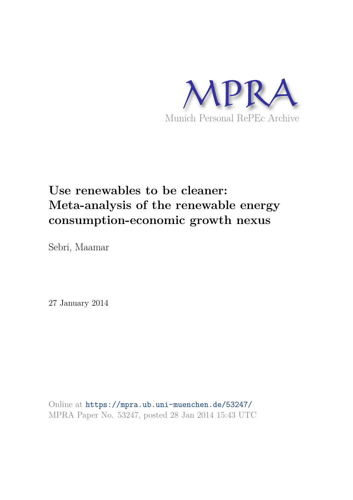

# **Use renewables to be cleaner: Meta-analysis of the renewable energy consumption-economic growth nexus**

Sebri, Maamar

27 January 2014

Online at https://mpra.ub.uni-muenchen.de/53247/ MPRA Paper No. 53247, posted 28 Jan 2014 15:43 UTC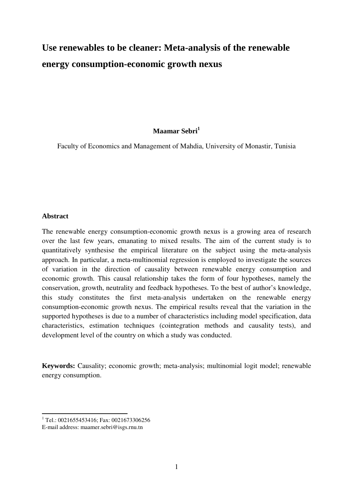## **Use renewables to be cleaner: Meta-analysis of the renewable energy consumption-economic growth nexus**

#### **Maamar Sebri<sup>1</sup>**

Faculty of Economics and Management of Mahdia, University of Monastir, Tunisia

#### **Abstract**

 $\overline{a}$ 

The renewable energy consumption-economic growth nexus is a growing area of research over the last few years, emanating to mixed results. The aim of the current study is to quantitatively synthesise the empirical literature on the subject using the meta-analysis approach. In particular, a meta-multinomial regression is employed to investigate the sources of variation in the direction of causality between renewable energy consumption and economic growth. This causal relationship takes the form of four hypotheses, namely the conservation, growth, neutrality and feedback hypotheses. To the best of author's knowledge, this study constitutes the first meta-analysis undertaken on the renewable energy consumption-economic growth nexus. The empirical results reveal that the variation in the supported hypotheses is due to a number of characteristics including model specification, data characteristics, estimation techniques (cointegration methods and causality tests), and development level of the country on which a study was conducted.

**Keywords:** Causality; economic growth; meta-analysis; multinomial logit model; renewable energy consumption.

<sup>1</sup> Tel.: 0021655453416; Fax: 0021673306256

E-mail address: maamer.sebri@isgs.rnu.tn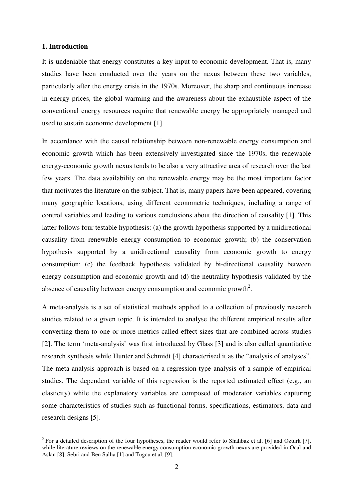#### **1. Introduction**

l

It is undeniable that energy constitutes a key input to economic development. That is, many studies have been conducted over the years on the nexus between these two variables, particularly after the energy crisis in the 1970s. Moreover, the sharp and continuous increase in energy prices, the global warming and the awareness about the exhaustible aspect of the conventional energy resources require that renewable energy be appropriately managed and used to sustain economic development [1]

In accordance with the causal relationship between non-renewable energy consumption and economic growth which has been extensively investigated since the 1970s, the renewable energy-economic growth nexus tends to be also a very attractive area of research over the last few years. The data availability on the renewable energy may be the most important factor that motivates the literature on the subject. That is, many papers have been appeared, covering many geographic locations, using different econometric techniques, including a range of control variables and leading to various conclusions about the direction of causality [1]. This latter follows four testable hypothesis: (a) the growth hypothesis supported by a unidirectional causality from renewable energy consumption to economic growth; (b) the conservation hypothesis supported by a unidirectional causality from economic growth to energy consumption; (c) the feedback hypothesis validated by bi-directional causality between energy consumption and economic growth and (d) the neutrality hypothesis validated by the absence of causality between energy consumption and economic growth<sup>2</sup>.

A meta-analysis is a set of statistical methods applied to a collection of previously research studies related to a given topic. It is intended to analyse the different empirical results after converting them to one or more metrics called effect sizes that are combined across studies [2]. The term 'meta-analysis' was first introduced by Glass [3] and is also called quantitative research synthesis while Hunter and Schmidt [4] characterised it as the "analysis of analyses". The meta-analysis approach is based on a regression-type analysis of a sample of empirical studies. The dependent variable of this regression is the reported estimated effect (e.g., an elasticity) while the explanatory variables are composed of moderator variables capturing some characteristics of studies such as functional forms, specifications, estimators, data and research designs [5].

<sup>&</sup>lt;sup>2</sup> For a detailed description of the four hypotheses, the reader would refer to Shahbaz et al. [6] and Ozturk [7], while literature reviews on the renewable energy consumption-economic growth nexus are provided in Ocal and Aslan [8], Sebri and Ben Salha [1] and Tugcu et al. [9].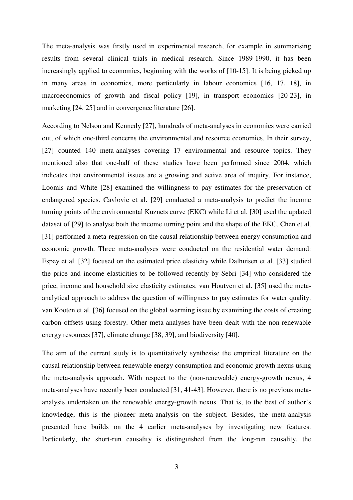The meta-analysis was firstly used in experimental research, for example in summarising results from several clinical trials in medical research. Since 1989-1990, it has been increasingly applied to economics, beginning with the works of [10-15]. It is being picked up in many areas in economics, more particularly in labour economics [16, 17, 18], in macroeconomics of growth and fiscal policy [19], in transport economics [20-23], in marketing [24, 25] and in convergence literature [26].

According to Nelson and Kennedy [27], hundreds of meta-analyses in economics were carried out, of which one-third concerns the environmental and resource economics. In their survey, [27] counted 140 meta-analyses covering 17 environmental and resource topics. They mentioned also that one-half of these studies have been performed since 2004, which indicates that environmental issues are a growing and active area of inquiry. For instance, Loomis and White [28] examined the willingness to pay estimates for the preservation of endangered species. Cavlovic et al. [29] conducted a meta-analysis to predict the income turning points of the environmental Kuznets curve (EKC) while Li et al. [30] used the updated dataset of [29] to analyse both the income turning point and the shape of the EKC. Chen et al. [31] performed a meta-regression on the causal relationship between energy consumption and economic growth. Three meta-analyses were conducted on the residential water demand: Espey et al. [32] focused on the estimated price elasticity while Dalhuisen et al. [33] studied the price and income elasticities to be followed recently by Sebri [34] who considered the price, income and household size elasticity estimates. van Houtven et al. [35] used the metaanalytical approach to address the question of willingness to pay estimates for water quality. van Kooten et al. [36] focused on the global warming issue by examining the costs of creating carbon offsets using forestry. Other meta-analyses have been dealt with the non-renewable energy resources [37], climate change [38, 39], and biodiversity [40].

The aim of the current study is to quantitatively synthesise the empirical literature on the causal relationship between renewable energy consumption and economic growth nexus using the meta-analysis approach. With respect to the (non-renewable) energy-growth nexus, 4 meta-analyses have recently been conducted [31, 41-43]. However, there is no previous metaanalysis undertaken on the renewable energy-growth nexus. That is, to the best of author's knowledge, this is the pioneer meta-analysis on the subject. Besides, the meta-analysis presented here builds on the 4 earlier meta-analyses by investigating new features. Particularly, the short-run causality is distinguished from the long-run causality, the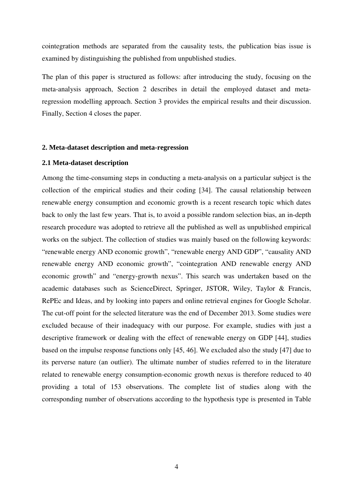cointegration methods are separated from the causality tests, the publication bias issue is examined by distinguishing the published from unpublished studies.

The plan of this paper is structured as follows: after introducing the study, focusing on the meta-analysis approach, Section 2 describes in detail the employed dataset and metaregression modelling approach. Section 3 provides the empirical results and their discussion. Finally, Section 4 closes the paper.

#### **2. Meta-dataset description and meta-regression**

#### **2.1 Meta-dataset description**

Among the time-consuming steps in conducting a meta-analysis on a particular subject is the collection of the empirical studies and their coding [34]. The causal relationship between renewable energy consumption and economic growth is a recent research topic which dates back to only the last few years. That is, to avoid a possible random selection bias, an in-depth research procedure was adopted to retrieve all the published as well as unpublished empirical works on the subject. The collection of studies was mainly based on the following keywords: "renewable energy AND economic growth", "renewable energy AND GDP", "causality AND renewable energy AND economic growth", "cointegration AND renewable energy AND economic growth" and "energy-growth nexus". This search was undertaken based on the academic databases such as ScienceDirect, Springer, JSTOR, Wiley, Taylor & Francis, RePEc and Ideas, and by looking into papers and online retrieval engines for Google Scholar. The cut-off point for the selected literature was the end of December 2013. Some studies were excluded because of their inadequacy with our purpose. For example, studies with just a descriptive framework or dealing with the effect of renewable energy on GDP [44], studies based on the impulse response functions only [45, 46]. We excluded also the study [47] due to its perverse nature (an outlier). The ultimate number of studies referred to in the literature related to renewable energy consumption-economic growth nexus is therefore reduced to 40 providing a total of 153 observations. The complete list of studies along with the corresponding number of observations according to the hypothesis type is presented in Table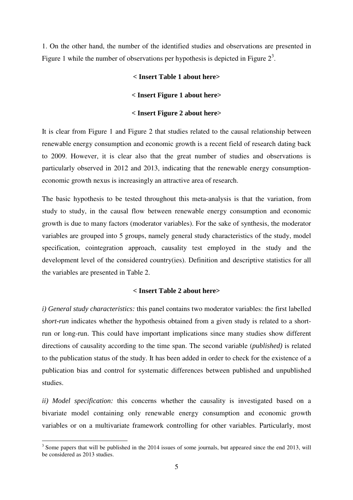1. On the other hand, the number of the identified studies and observations are presented in Figure 1 while the number of observations per hypothesis is depicted in Figure  $2<sup>3</sup>$ .

#### **< Insert Table 1 about here>**

#### **< Insert Figure 1 about here>**

#### **< Insert Figure 2 about here>**

It is clear from Figure 1 and Figure 2 that studies related to the causal relationship between renewable energy consumption and economic growth is a recent field of research dating back to 2009. However, it is clear also that the great number of studies and observations is particularly observed in 2012 and 2013, indicating that the renewable energy consumptioneconomic growth nexus is increasingly an attractive area of research.

The basic hypothesis to be tested throughout this meta-analysis is that the variation, from study to study, in the causal flow between renewable energy consumption and economic growth is due to many factors (moderator variables). For the sake of synthesis, the moderator variables are grouped into 5 groups, namely general study characteristics of the study, model specification, cointegration approach, causality test employed in the study and the development level of the considered country(ies). Definition and descriptive statistics for all the variables are presented in Table 2.

#### **< Insert Table 2 about here>**

*i) General study characteristics:* this panel contains two moderator variables: the first labelled *short-run* indicates whether the hypothesis obtained from a given study is related to a shortrun or long-run. This could have important implications since many studies show different directions of causality according to the time span. The second variable (*published)* is related to the publication status of the study. It has been added in order to check for the existence of a publication bias and control for systematic differences between published and unpublished studies.

*ii) Model specification:* this concerns whether the causality is investigated based on a bivariate model containing only renewable energy consumption and economic growth variables or on a multivariate framework controlling for other variables. Particularly, most

l

 $3$  Some papers that will be published in the 2014 issues of some journals, but appeared since the end 2013, will be considered as 2013 studies.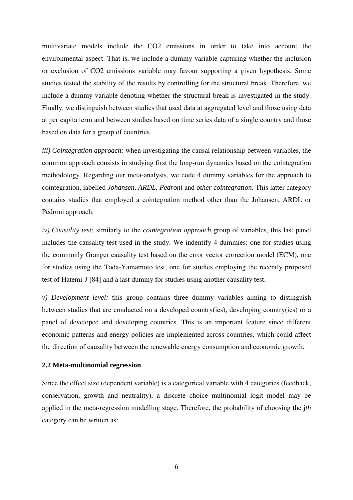multivariate models include the CO2 emissions in order to take into account the environmental aspect. That is, we include a dummy variable capturing whether the inclusion or exclusion of CO2 emissions variable may favour supporting a given hypothesis. Some studies tested the stability of the results by controlling for the structural break. Therefore, we include a dummy variable denoting whether the structural break is investigated in the study. Finally, we distinguish between studies that used data at aggregated level and those using data at per capita term and between studies based on time series data of a single country and those based on data for a group of countries.

*iii) Cointegration approach:* when investigating the causal relationship between variables, the common approach consists in studying first the long-run dynamics based on the cointegration methodology. Regarding our meta-analysis, we code 4 dummy variables for the approach to cointegration, labelled *Johansen*, *ARDL*, *Pedroni* and *other cointegration*. This latter category contains studies that employed a cointegration method other than the Johansen, ARDL or Pedroni approach.

*iv) Causality test:* similarly to the *cointegration approach* group of variables, this last panel includes the causality test used in the study. We indentify 4 dummies: one for studies using the commonly Granger causality test based on the error vector correction model (ECM), one for studies using the Toda-Yamamoto test, one for studies employing the recently proposed test of Hatemi-J [84] and a last dummy for studies using another causality test.

*v) Development level:* this group contains three dummy variables aiming to distinguish between studies that are conducted on a developed country(ies), developing country(ies) or a panel of developed and developing countries. This is an important feature since different economic patterns and energy policies are implemented across countries, which could affect the direction of causality between the renewable energy consumption and economic growth.

#### **2.2 Meta-multinomial regression**

Since the effect size (dependent variable) is a categorical variable with 4 categories (feedback, conservation, growth and neutrality), a discrete choice multinomial logit model may be applied in the meta-regression modelling stage. Therefore, the probability of choosing the j*th* category can be written as: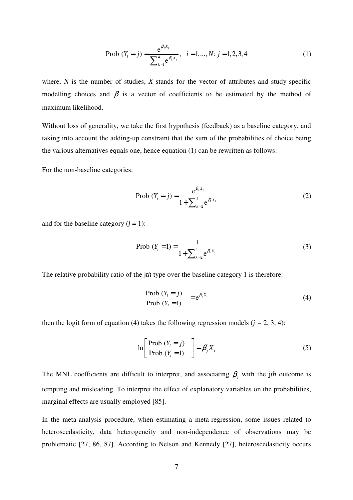Prob 
$$
(Y_i = j) = \frac{e^{\beta_j X_i}}{\sum_{k=1}^4 e^{\beta_k X_i}}, \quad i = 1, ..., N; j = 1, 2, 3, 4
$$
 (1)

where, *N* is the number of studies, *X* stands for the vector of attributes and study-specific modelling choices and  $\beta$  is a vector of coefficients to be estimated by the method of maximum likelihood.

Without loss of generality, we take the first hypothesis (feedback) as a baseline category, and taking into account the adding-up constraint that the sum of the probabilities of choice being the various alternatives equals one, hence equation (1) can be rewritten as follows:

For the non-baseline categories:

Prob 
$$
(Y_i = j) = \frac{e^{\beta_j X_i}}{1 + \sum_{k=2}^{4} e^{\beta_k X_i}}
$$
 (2)

and for the baseline category  $(i = 1)$ :

$$
\text{Prob } (Y_i = 1) = \frac{1}{1 + \sum_{k=2}^{4} e^{\beta_k X_i}} \tag{3}
$$

The relative probability ratio of the j*th* type over the baseline category 1 is therefore:

$$
\frac{\text{Prob}(Y_i = j)}{\text{Prob}(Y_i = 1)} = e^{\beta_j X_i}
$$
\n(4)

then the logit form of equation (4) takes the following regression models ( $j = 2, 3, 4$ ):

$$
\ln\left[\frac{\text{Prob}\ (Y_i = j)}{\text{Prob}\ (Y_i = 1)}\right] = \beta_j X_i \tag{5}
$$

The MNL coefficients are difficult to interpret, and associating  $\beta_j$  with the jth outcome is tempting and misleading. To interpret the effect of explanatory variables on the probabilities, marginal effects are usually employed [85].

In the meta-analysis procedure, when estimating a meta-regression, some issues related to heteroscedasticity, data heterogeneity and non-independence of observations may be problematic [27, 86, 87]. According to Nelson and Kennedy [27], heteroscedasticity occurs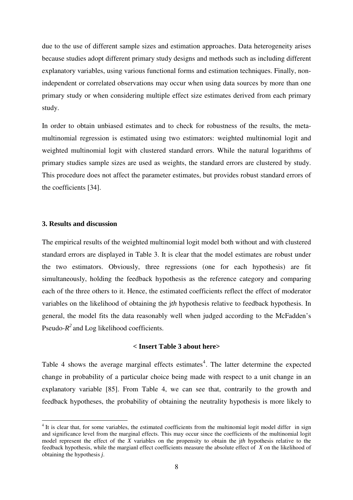due to the use of different sample sizes and estimation approaches. Data heterogeneity arises because studies adopt different primary study designs and methods such as including different explanatory variables, using various functional forms and estimation techniques. Finally, nonindependent or correlated observations may occur when using data sources by more than one primary study or when considering multiple effect size estimates derived from each primary study.

In order to obtain unbiased estimates and to check for robustness of the results, the metamultinomial regression is estimated using two estimators: weighted multinomial logit and weighted multinomial logit with clustered standard errors. While the natural logarithms of primary studies sample sizes are used as weights, the standard errors are clustered by study. This procedure does not affect the parameter estimates, but provides robust standard errors of the coefficients [34].

#### **3. Results and discussion**

 $\overline{a}$ 

The empirical results of the weighted multinomial logit model both without and with clustered standard errors are displayed in Table 3. It is clear that the model estimates are robust under the two estimators. Obviously, three regressions (one for each hypothesis) are fit simultaneously, holding the feedback hypothesis as the reference category and comparing each of the three others to it. Hence, the estimated coefficients reflect the effect of moderator variables on the likelihood of obtaining the j*th* hypothesis relative to feedback hypothesis. In general, the model fits the data reasonably well when judged according to the McFadden's Pseudo- $R^2$  and Log likelihood coefficients.

#### **< Insert Table 3 about here>**

Table 4 shows the average marginal effects estimates<sup>4</sup>. The latter determine the expected change in probability of a particular choice being made with respect to a unit change in an explanatory variable [85]. From Table 4, we can see that, contrarily to the growth and feedback hypotheses, the probability of obtaining the neutrality hypothesis is more likely to

<sup>&</sup>lt;sup>4</sup> It is clear that, for some variables, the estimated coefficients from the multinomial logit model differ in sign and significance level from the marginal effects. This may occur since the coefficients of the multinomial logit model represent the effect of the *X* variables on the propensity to obtain the j*th* hypothesis relative to the feedback hypothesis, while the margianl effect coefficients measure the absolute effect of *X* on the likelihood of obtaining the hypothesis *j*.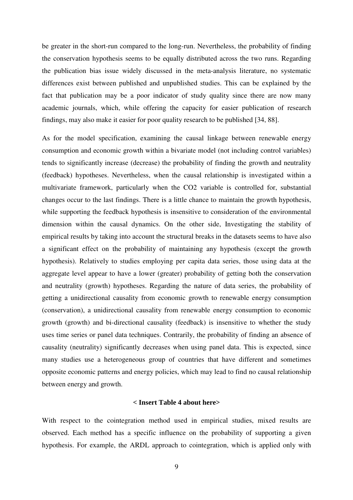be greater in the short-run compared to the long-run. Nevertheless, the probability of finding the conservation hypothesis seems to be equally distributed across the two runs. Regarding the publication bias issue widely discussed in the meta-analysis literature, no systematic differences exist between published and unpublished studies. This can be explained by the fact that publication may be a poor indicator of study quality since there are now many academic journals, which, while offering the capacity for easier publication of research findings, may also make it easier for poor quality research to be published [34, 88].

As for the model specification, examining the causal linkage between renewable energy consumption and economic growth within a bivariate model (not including control variables) tends to significantly increase (decrease) the probability of finding the growth and neutrality (feedback) hypotheses. Nevertheless, when the causal relationship is investigated within a multivariate framework, particularly when the CO2 variable is controlled for, substantial changes occur to the last findings. There is a little chance to maintain the growth hypothesis, while supporting the feedback hypothesis is insensitive to consideration of the environmental dimension within the causal dynamics. On the other side, Investigating the stability of empirical results by taking into account the structural breaks in the datasets seems to have also a significant effect on the probability of maintaining any hypothesis (except the growth hypothesis). Relatively to studies employing per capita data series, those using data at the aggregate level appear to have a lower (greater) probability of getting both the conservation and neutrality (growth) hypotheses. Regarding the nature of data series, the probability of getting a unidirectional causality from economic growth to renewable energy consumption (conservation), a unidirectional causality from renewable energy consumption to economic growth (growth) and bi-directional causality (feedback) is insensitive to whether the study uses time series or panel data techniques. Contrarily, the probability of finding an absence of causality (neutrality) significantly decreases when using panel data. This is expected, since many studies use a heterogeneous group of countries that have different and sometimes opposite economic patterns and energy policies, which may lead to find no causal relationship between energy and growth.

#### **< Insert Table 4 about here>**

With respect to the cointegration method used in empirical studies, mixed results are observed. Each method has a specific influence on the probability of supporting a given hypothesis. For example, the ARDL approach to cointegration, which is applied only with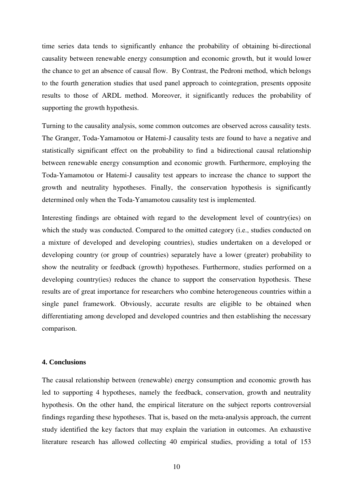time series data tends to significantly enhance the probability of obtaining bi-directional causality between renewable energy consumption and economic growth, but it would lower the chance to get an absence of causal flow. By Contrast, the Pedroni method, which belongs to the fourth generation studies that used panel approach to cointegration, presents opposite results to those of ARDL method. Moreover, it significantly reduces the probability of supporting the growth hypothesis.

Turning to the causality analysis, some common outcomes are observed across causality tests. The Granger, Toda-Yamamotou or Hatemi-J causality tests are found to have a negative and statistically significant effect on the probability to find a bidirectional causal relationship between renewable energy consumption and economic growth. Furthermore, employing the Toda-Yamamotou or Hatemi-J causality test appears to increase the chance to support the growth and neutrality hypotheses. Finally, the conservation hypothesis is significantly determined only when the Toda-Yamamotou causality test is implemented.

Interesting findings are obtained with regard to the development level of country(ies) on which the study was conducted. Compared to the omitted category (i.e., studies conducted on a mixture of developed and developing countries), studies undertaken on a developed or developing country (or group of countries) separately have a lower (greater) probability to show the neutrality or feedback (growth) hypotheses. Furthermore, studies performed on a developing country(ies) reduces the chance to support the conservation hypothesis. These results are of great importance for researchers who combine heterogeneous countries within a single panel framework. Obviously, accurate results are eligible to be obtained when differentiating among developed and developed countries and then establishing the necessary comparison.

#### **4. Conclusions**

The causal relationship between (renewable) energy consumption and economic growth has led to supporting 4 hypotheses, namely the feedback, conservation, growth and neutrality hypothesis. On the other hand, the empirical literature on the subject reports controversial findings regarding these hypotheses. That is, based on the meta-analysis approach, the current study identified the key factors that may explain the variation in outcomes. An exhaustive literature research has allowed collecting 40 empirical studies, providing a total of 153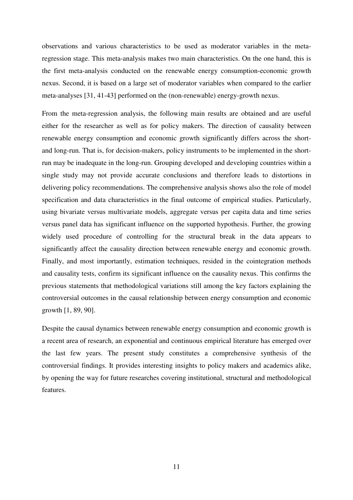observations and various characteristics to be used as moderator variables in the metaregression stage. This meta-analysis makes two main characteristics. On the one hand, this is the first meta-analysis conducted on the renewable energy consumption-economic growth nexus. Second, it is based on a large set of moderator variables when compared to the earlier meta-analyses [31, 41-43] performed on the (non-renewable) energy-growth nexus.

From the meta-regression analysis, the following main results are obtained and are useful either for the researcher as well as for policy makers. The direction of causality between renewable energy consumption and economic growth significantly differs across the shortand long-run. That is, for decision-makers, policy instruments to be implemented in the shortrun may be inadequate in the long-run. Grouping developed and developing countries within a single study may not provide accurate conclusions and therefore leads to distortions in delivering policy recommendations. The comprehensive analysis shows also the role of model specification and data characteristics in the final outcome of empirical studies. Particularly, using bivariate versus multivariate models, aggregate versus per capita data and time series versus panel data has significant influence on the supported hypothesis. Further, the growing widely used procedure of controlling for the structural break in the data appears to significantly affect the causality direction between renewable energy and economic growth. Finally, and most importantly, estimation techniques, resided in the cointegration methods and causality tests, confirm its significant influence on the causality nexus. This confirms the previous statements that methodological variations still among the key factors explaining the controversial outcomes in the causal relationship between energy consumption and economic growth [1, 89, 90].

Despite the causal dynamics between renewable energy consumption and economic growth is a recent area of research, an exponential and continuous empirical literature has emerged over the last few years. The present study constitutes a comprehensive synthesis of the controversial findings. It provides interesting insights to policy makers and academics alike, by opening the way for future researches covering institutional, structural and methodological features.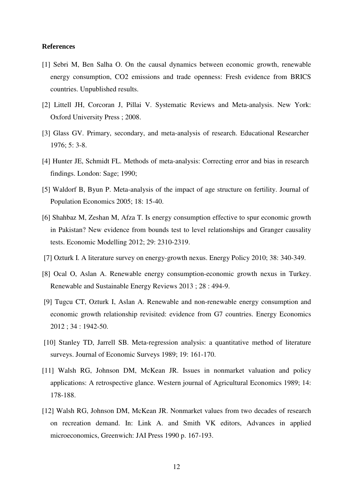#### **References**

- [1] Sebri M, Ben Salha O. On the causal dynamics between economic growth, renewable energy consumption, CO2 emissions and trade openness: Fresh evidence from BRICS countries. Unpublished results.
- [2] Littell JH, Corcoran J, Pillai V. Systematic Reviews and Meta-analysis. New York: Oxford University Press ; 2008.
- [3] Glass GV. Primary, secondary, and meta-analysis of research. Educational Researcher 1976; 5: 3-8.
- [4] Hunter JE, Schmidt FL. Methods of meta-analysis: Correcting error and bias in research findings. London: Sage; 1990;
- [5] Waldorf B, Byun P. Meta-analysis of the impact of age structure on fertility. Journal of Population Economics 2005; 18: 15-40.
- [6] Shahbaz M, Zeshan M, Afza T. Is energy consumption effective to spur economic growth in Pakistan? New evidence from bounds test to level relationships and Granger causality tests. Economic Modelling 2012; 29: 2310-2319.
- [7] Ozturk I. A literature survey on energy-growth nexus. Energy Policy 2010; 38: 340-349.
- [8] Ocal O, Aslan A. Renewable energy consumption-economic growth nexus in Turkey. Renewable and Sustainable Energy Reviews 2013 ; 28 : 494-9.
- [9] Tugcu CT, Ozturk I, Aslan A. Renewable and non-renewable energy consumption and economic growth relationship revisited: evidence from G7 countries. Energy Economics 2012 ; 34 : 1942-50.
- [10] Stanley TD, Jarrell SB. Meta-regression analysis: a quantitative method of literature surveys. Journal of Economic Surveys 1989; 19: 161-170.
- [11] Walsh RG, Johnson DM, McKean JR. Issues in nonmarket valuation and policy applications: A retrospective glance. Western journal of Agricultural Economics 1989; 14: 178-188.
- [12] Walsh RG, Johnson DM, McKean JR. Nonmarket values from two decades of research on recreation demand. In: Link A. and Smith VK editors, Advances in applied microeconomics, Greenwich: JAI Press 1990 p. 167-193.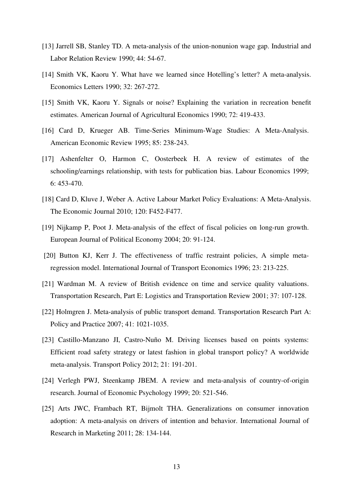- [13] Jarrell SB, Stanley TD. A meta-analysis of the union-nonunion wage gap. Industrial and Labor Relation Review 1990; 44: 54-67.
- [14] Smith VK, Kaoru Y. What have we learned since Hotelling's letter? A meta-analysis. Economics Letters 1990; 32: 267-272.
- [15] Smith VK, Kaoru Y. Signals or noise? Explaining the variation in recreation benefit estimates. American Journal of Agricultural Economics 1990; 72: 419-433.
- [16] Card D, Krueger AB. Time-Series Minimum-Wage Studies: A Meta-Analysis. American Economic Review 1995; 85: 238-243.
- [17] Ashenfelter O, Harmon C, Oosterbeek H. A review of estimates of the schooling/earnings relationship, with tests for publication bias. Labour Economics 1999; 6: 453-470.
- [18] Card D, Kluve J, Weber A. Active Labour Market Policy Evaluations: A Meta-Analysis. The Economic Journal 2010; 120: F452-F477.
- [19] Nijkamp P, Poot J. Meta-analysis of the effect of fiscal policies on long-run growth. European Journal of Political Economy 2004; 20: 91-124.
- [20] Button KJ, Kerr J. The effectiveness of traffic restraint policies, A simple metaregression model. International Journal of Transport Economics 1996; 23: 213-225.
- [21] Wardman M. A review of British evidence on time and service quality valuations. Transportation Research, Part E: Logistics and Transportation Review 2001; 37: 107-128.
- [22] Holmgren J. Meta-analysis of public transport demand. Transportation Research Part A: Policy and Practice 2007; 41: 1021-1035.
- [23] Castillo-Manzano JI, Castro-Nuño M. Driving licenses based on points systems: Efficient road safety strategy or latest fashion in global transport policy? A worldwide meta-analysis. Transport Policy 2012; 21: 191-201.
- [24] Verlegh PWJ, Steenkamp JBEM. A review and meta-analysis of country-of-origin research. Journal of Economic Psychology 1999; 20: 521-546.
- [25] Arts JWC, Frambach RT, Bijmolt THA. Generalizations on consumer innovation adoption: A meta-analysis on drivers of intention and behavior. International Journal of Research in Marketing 2011; 28: 134-144.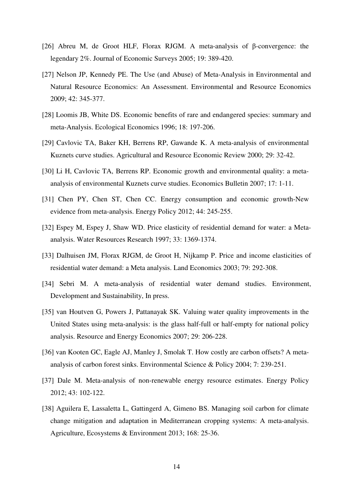- [26] Abreu M, de Groot HLF, Florax RJGM. A meta-analysis of β-convergence: the legendary 2%. Journal of Economic Surveys 2005; 19: 389-420.
- [27] Nelson JP, Kennedy PE. The Use (and Abuse) of Meta-Analysis in Environmental and Natural Resource Economics: An Assessment. Environmental and Resource Economics 2009; 42: 345-377.
- [28] Loomis JB, White DS. Economic benefits of rare and endangered species: summary and meta-Analysis. Ecological Economics 1996; 18: 197-206.
- [29] Cavlovic TA, Baker KH, Berrens RP, Gawande K. A meta-analysis of environmental Kuznets curve studies. Agricultural and Resource Economic Review 2000; 29: 32-42.
- [30] Li H, Cavlovic TA, Berrens RP. Economic growth and environmental quality: a metaanalysis of environmental Kuznets curve studies. Economics Bulletin 2007; 17: 1-11.
- [31] Chen PY, Chen ST, Chen CC. Energy consumption and economic growth-New evidence from meta-analysis. Energy Policy 2012; 44: 245-255.
- [32] Espey M, Espey J, Shaw WD. Price elasticity of residential demand for water: a Metaanalysis. Water Resources Research 1997; 33: 1369-1374.
- [33] Dalhuisen JM, Florax RJGM, de Groot H, Nijkamp P. Price and income elasticities of residential water demand: a Meta analysis. Land Economics 2003; 79: 292-308.
- [34] Sebri M. A meta-analysis of residential water demand studies. Environment, Development and Sustainability, In press.
- [35] van Houtven G, Powers J, Pattanayak SK. Valuing water quality improvements in the United States using meta-analysis: is the glass half-full or half-empty for national policy analysis. Resource and Energy Economics 2007; 29: 206-228.
- [36] van Kooten GC, Eagle AJ, Manley J, Smolak T. How costly are carbon offsets? A metaanalysis of carbon forest sinks. Environmental Science & Policy 2004; 7: 239-251.
- [37] Dale M. Meta-analysis of non-renewable energy resource estimates. Energy Policy 2012; 43: 102-122.
- [38] Aguilera E, Lassaletta L, Gattingerd A, Gimeno BS. Managing soil carbon for climate change mitigation and adaptation in Mediterranean cropping systems: A meta-analysis. Agriculture, Ecosystems & Environment 2013; 168: 25-36.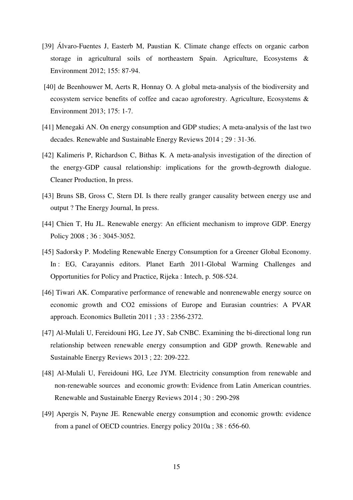- [39] Álvaro-Fuentes J, Easterb M, Paustian K. Climate change effects on organic carbon storage in agricultural soils of northeastern Spain. Agriculture, Ecosystems & Environment 2012; 155: 87-94.
- [40] de Beenhouwer M, Aerts R, Honnay O. A global meta-analysis of the biodiversity and ecosystem service benefits of coffee and cacao agroforestry. Agriculture, Ecosystems & Environment 2013; 175: 1-7.
- [41] Menegaki AN. On energy consumption and GDP studies; A meta-analysis of the last two decades. Renewable and Sustainable Energy Reviews 2014 ; 29 : 31-36.
- [42] Kalimeris P, Richardson C, Bithas K. A meta-analysis investigation of the direction of the energy-GDP causal relationship: implications for the growth-degrowth dialogue. Cleaner Production, In press.
- [43] Bruns SB, Gross C, Stern DI. Is there really granger causality between energy use and output ? The Energy Journal, In press.
- [44] Chien T, Hu JL. Renewable energy: An efficient mechanism to improve GDP. Energy Policy 2008 ; 36 : 3045-3052.
- [45] Sadorsky P. Modeling Renewable Energy Consumption for a Greener Global Economy. In : EG, Carayannis editors. Planet Earth 2011-Global Warming Challenges and Opportunities for Policy and Practice*,* Rijeka : Intech, p. 508-524.
- [46] Tiwari AK. Comparative performance of renewable and nonrenewable energy source on economic growth and CO2 emissions of Europe and Eurasian countries: A PVAR approach. Economics Bulletin 2011 ; 33 : 2356-2372.
- [47] Al-Mulali U, Fereidouni HG, Lee JY, Sab CNBC. Examining the bi-directional long run relationship between renewable energy consumption and GDP growth. Renewable and Sustainable Energy Reviews 2013 ; 22: 209-222.
- [48] Al-Mulali U, Fereidouni HG, Lee JYM. Electricity consumption from renewable and non-renewable sources and economic growth: Evidence from Latin American countries. Renewable and Sustainable Energy Reviews 2014 ; 30 : 290-298
- [49] Apergis N, Payne JE. Renewable energy consumption and economic growth: evidence from a panel of OECD countries. Energy policy 2010a ; 38 : 656-60.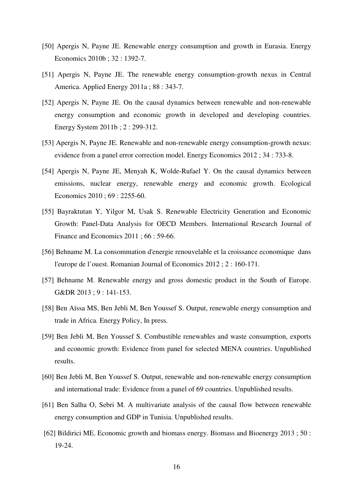- [50] Apergis N, Payne JE. Renewable energy consumption and growth in Eurasia. Energy Economics 2010b ; 32 : 1392-7.
- [51] Apergis N, Payne JE. The renewable energy consumption-growth nexus in Central America. Applied Energy 2011a ; 88 : 343-7.
- [52] Apergis N, Payne JE. On the causal dynamics between renewable and non-renewable energy consumption and economic growth in developed and developing countries. Energy System 2011b ; 2 : 299-312.
- [53] Apergis N, Payne JE. Renewable and non-renewable energy consumption-growth nexus: evidence from a panel error correction model. Energy Economics 2012 ; 34 : 733-8.
- [54] Apergis N, Payne JE, Menyah K, Wolde-Rufael Y. On the causal dynamics between emissions, nuclear energy, renewable energy and economic growth. Ecological Economics 2010 ; 69 : 2255-60.
- [55] Bayraktutan Y, Yilgor M, Usak S. Renewable Electricity Generation and Economic Growth: Panel-Data Analysis for OECD Members. International Research Journal of Finance and Economics 2011 ; 66 : 59-66.
- [56] Behname M. La consommation d'energie renouvelable et la croissance economique dans l'europe de l'ouest. Romanian Journal of Economics 2012 ; 2 : 160-171.
- [57] Behname M. Renewable energy and gross domestic product in the South of Europe. G&DR 2013 ; 9 : 141-153.
- [58] Ben Aïssa MS, Ben Jebli M, Ben Youssef S. Output, renewable energy consumption and trade in Africa. Energy Policy, In press.
- [59] Ben Jebli M, Ben Youssef S. Combustible renewables and waste consumption, exports and economic growth: Evidence from panel for selected MENA countries. Unpublished results.
- [60] Ben Jebli M, Ben Youssef S. Output, renewable and non-renewable energy consumption and international trade: Evidence from a panel of 69 countries. Unpublished results.
- [61] Ben Salha O, Sebri M. A multivariate analysis of the causal flow between renewable energy consumption and GDP in Tunisia. Unpublished results.
- [62] Bildirici ME. Economic growth and biomass energy. Biomass and Bioenergy 2013 ; 50 : 19-24.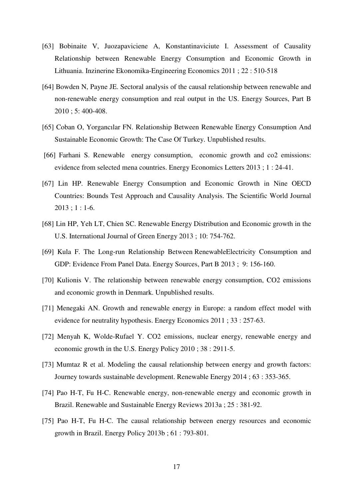- [63] Bobinaite V, Juozapaviciene A, Konstantinaviciute I. Assessment of Causality Relationship between Renewable Energy Consumption and Economic Growth in Lithuania. Inzinerine Ekonomika-Engineering Economics 2011 ; 22 : 510-518
- [64] Bowden N, Payne JE. Sectoral analysis of the causal relationship between renewable and non-renewable energy consumption and real output in the US. Energy Sources, Part B 2010 ; 5: 400-408.
- [65] Coban O, Yorgancılar FN. Relationship Between Renewable Energy Consumption And Sustainable Economic Growth: The Case Of Turkey. Unpublished results.
- [66] Farhani S. Renewable energy consumption, economic growth and co2 emissions: evidence from selected mena countries. Energy Economics Letters 2013 ; 1 : 24-41.
- [67] Lin HP. Renewable Energy Consumption and Economic Growth in Nine OECD Countries: Bounds Test Approach and Causality Analysis. The Scientific World Journal 2013 ; 1 : 1-6.
- [68] Lin HP, Yeh LT, Chien SC. Renewable Energy Distribution and Economic growth in the U.S. International Journal of Green Energy 2013 ; 10: 754-762.
- [69] Kula F. The Long-run Relationship Between RenewableElectricity Consumption and GDP: Evidence From Panel Data. Energy Sources, Part B 2013 ; 9: 156-160.
- [70] Kulionis V. The relationship between renewable energy consumption, CO2 emissions and economic growth in Denmark. Unpublished results.
- [71] Menegaki AN. Growth and renewable energy in Europe: a random effect model with evidence for neutrality hypothesis. Energy Economics 2011 ; 33 : 257-63.
- [72] Menyah K, Wolde-Rufael Y. CO2 emissions, nuclear energy, renewable energy and economic growth in the U.S. Energy Policy 2010 ; 38 : 2911-5.
- [73] Mumtaz R et al. Modeling the causal relationship between energy and growth factors: Journey towards sustainable development. Renewable Energy 2014 ; 63 : 353-365.
- [74] Pao H-T, Fu H-C. Renewable energy, non-renewable energy and economic growth in Brazil. Renewable and Sustainable Energy Reviews 2013a ; 25 : 381-92.
- [75] Pao H-T, Fu H-C. The causal relationship between energy resources and economic growth in Brazil. Energy Policy 2013b ; 61 : 793-801.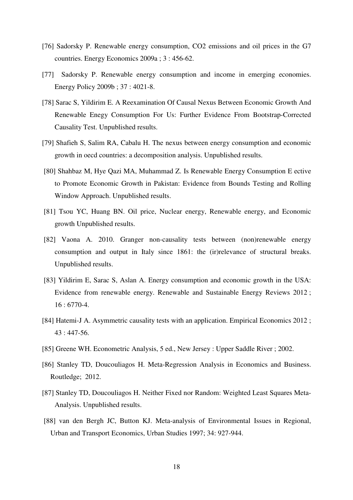- [76] Sadorsky P. Renewable energy consumption, CO2 emissions and oil prices in the G7 countries. Energy Economics 2009a ; 3 : 456-62.
- [77] Sadorsky P. Renewable energy consumption and income in emerging economies. Energy Policy 2009b ; 37 : 4021-8.
- [78] Sarac S, Yildirim E. A Reexamination Of Causal Nexus Between Economic Growth And Renewable Enegy Consumption For Us: Further Evidence From Bootstrap-Corrected Causality Test. Unpublished results.
- [79] Shafieh S, Salim RA, Cabalu H. The nexus between energy consumption and economic growth in oecd countries: a decomposition analysis. Unpublished results.
- [80] Shahbaz M, Hye Qazi MA, Muhammad Z. Is Renewable Energy Consumption E ective to Promote Economic Growth in Pakistan: Evidence from Bounds Testing and Rolling Window Approach. Unpublished results.
- [81] Tsou YC, Huang BN. Oil price, Nuclear energy, Renewable energy, and Economic growth Unpublished results.
- [82] Vaona A. 2010. Granger non-causality tests between (non)renewable energy consumption and output in Italy since 1861: the (ir)relevance of structural breaks. Unpublished results.
- [83] Yildirim E, Sarac S, Aslan A. Energy consumption and economic growth in the USA: Evidence from renewable energy. Renewable and Sustainable Energy Reviews 2012 ; 16 : 6770-4.
- [84] Hatemi-J A. Asymmetric causality tests with an application. Empirical Economics 2012 ; 43 : 447-56.
- [85] Greene WH. Econometric Analysis, 5 ed., New Jersey : Upper Saddle River ; 2002.
- [86] Stanley TD, Doucouliagos H. Meta-Regression Analysis in Economics and Business. Routledge; 2012.
- [87] Stanley TD, Doucouliagos H. Neither Fixed nor Random: Weighted Least Squares Meta-Analysis. Unpublished results.
- [88] van den Bergh JC, Button KJ. Meta-analysis of Environmental Issues in Regional, Urban and Transport Economics, Urban Studies 1997; 34: 927-944.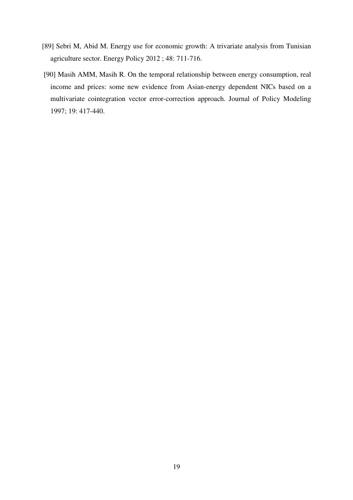- [89] Sebri M, Abid M. Energy use for economic growth: A trivariate analysis from Tunisian agriculture sector. Energy Policy 2012 ; 48: 711-716.
- [90] Masih AMM, Masih R. On the temporal relationship between energy consumption, real income and prices: some new evidence from Asian-energy dependent NICs based on a multivariate cointegration vector error-correction approach. Journal of Policy Modeling 1997; 19: 417-440.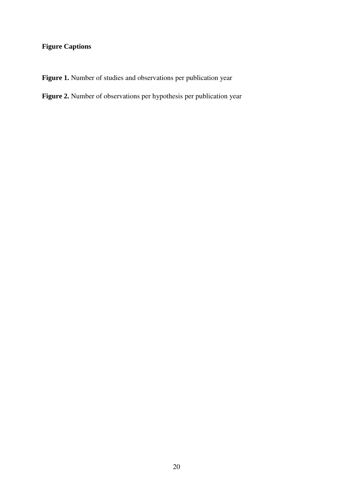### **Figure Captions**

Figure 1. Number of studies and observations per publication year

### **Figure 2.** Number of observations per hypothesis per publication year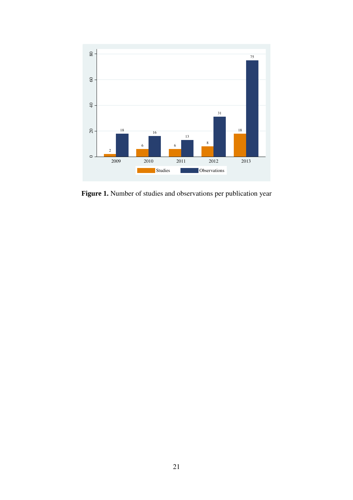

**Figure 1.** Number of studies and observations per publication year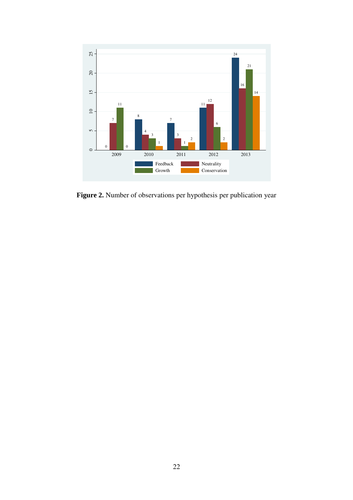

**Figure 2.** Number of observations per hypothesis per publication year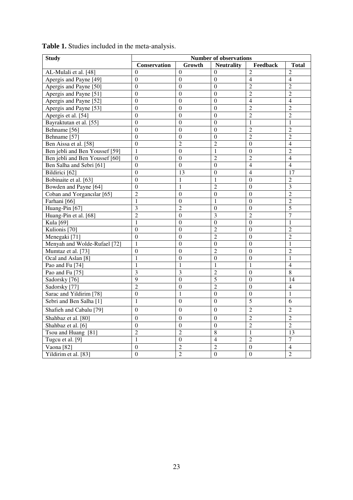| <b>Study</b>                   | <b>Number of observations</b> |                  |                   |                  |                |  |  |
|--------------------------------|-------------------------------|------------------|-------------------|------------------|----------------|--|--|
|                                | Conservation                  | Growth           | <b>Neutrality</b> | Feedback         | <b>Total</b>   |  |  |
| AL-Mulali et al. [48]          | $\theta$                      | $\Omega$         | $\Omega$          | $\overline{2}$   | $\overline{c}$ |  |  |
| Apergis and Payne [49]         | $\boldsymbol{0}$              | $\boldsymbol{0}$ | $\boldsymbol{0}$  | $\overline{4}$   | $\overline{4}$ |  |  |
| Apergis and Payne [50]         | $\boldsymbol{0}$              | $\Omega$         | $\boldsymbol{0}$  | $\overline{2}$   | $\overline{c}$ |  |  |
| Apergis and Payne [51]         | $\Omega$                      | $\Omega$         | $\theta$          | $\overline{2}$   | $\overline{2}$ |  |  |
| Apergis and Payne [52]         | $\overline{0}$                | $\theta$         | $\theta$          | $\overline{4}$   | $\overline{4}$ |  |  |
| Apergis and Payne [53]         | $\Omega$                      | $\theta$         | $\boldsymbol{0}$  | $\overline{2}$   | $\overline{2}$ |  |  |
| Apergis et al. [54]            | $\theta$                      | $\theta$         | $\theta$          | $\overline{2}$   | $\overline{c}$ |  |  |
| Bayraktutan et al. [55]        | $\boldsymbol{0}$              | $\mathbf{0}$     | $\boldsymbol{0}$  | $\mathbf{1}$     | $\mathbf{1}$   |  |  |
| Behname [56]                   | $\mathbf{0}$                  | $\mathbf{0}$     | $\boldsymbol{0}$  | $\overline{2}$   | $\overline{c}$ |  |  |
| Behname [57]                   | $\overline{0}$                | $\mathbf{0}$     | $\boldsymbol{0}$  | $\overline{2}$   | $\overline{2}$ |  |  |
| Ben Aissa et al. [58]          | $\theta$                      | $\overline{2}$   | $\overline{c}$    | $\theta$         | 4              |  |  |
| Ben jebli and Ben Youssef [59] | $\mathbf{1}$                  | $\boldsymbol{0}$ | $\mathbf{1}$      | $\boldsymbol{0}$ | $\overline{2}$ |  |  |
| Ben jebli and Ben Youssef [60] | $\mathbf{0}$                  | $\boldsymbol{0}$ | $\overline{2}$    | $\overline{2}$   | $\overline{4}$ |  |  |
| Ben Salha and Sebri [61]       | $\overline{0}$                | $\overline{0}$   | $\boldsymbol{0}$  | $\overline{4}$   | $\overline{4}$ |  |  |
| Bildirici [62]                 | $\theta$                      | 13               | $\boldsymbol{0}$  | $\overline{4}$   | 17             |  |  |
| Bobinaite et al. [63]          | $\overline{0}$                | 1                | 1                 | $\overline{0}$   | $\overline{2}$ |  |  |
| Bowden and Payne [64]          | $\overline{0}$                | 1                | $\overline{2}$    | $\overline{0}$   | $\overline{3}$ |  |  |
| Coban and Yorgancılar [65]     | $\overline{2}$                | $\overline{0}$   | $\mathbf{0}$      | $\overline{0}$   | $\overline{2}$ |  |  |
| Farhani [66]                   | 1                             | $\theta$         | 1                 | $\boldsymbol{0}$ | $\overline{c}$ |  |  |
| Huang-Pin [67]                 | 3                             | $\overline{2}$   | $\boldsymbol{0}$  | $\overline{0}$   | 5              |  |  |
| Huang-Pin et al. [68]          | $\overline{2}$                | $\theta$         | 3                 | $\overline{2}$   | $\overline{7}$ |  |  |
| Kula [69]                      | 1                             | $\mathbf{0}$     | $\mathbf{0}$      | $\overline{0}$   | $\mathbf{1}$   |  |  |
| Kulionis <sup>[70]</sup>       | $\theta$                      | $\theta$         | $\overline{2}$    | $\boldsymbol{0}$ | $\overline{c}$ |  |  |
| Menegaki [71]                  | $\mathbf{0}$                  | $\theta$         | $\overline{2}$    | $\overline{0}$   | $\overline{2}$ |  |  |
| Menyah and Wolde-Rufael [72]   | 1                             | $\theta$         | $\boldsymbol{0}$  | $\overline{0}$   | 1              |  |  |
| Mumtaz et al. [73]             | $\overline{0}$                | $\mathbf{0}$     | $\overline{2}$    | $\overline{0}$   | $\overline{2}$ |  |  |
| Ocal and Aslan [8]             | $\mathbf{1}$                  | $\theta$         | $\theta$          | $\boldsymbol{0}$ | 1              |  |  |
| Pao and Fu [74]                | $\mathbf{1}$                  | 1                | 1                 | 1                | $\overline{4}$ |  |  |
| Pao and Fu [75]                | 3                             | 3                | $\mathfrak{D}$    | $\Omega$         | $\overline{8}$ |  |  |
| Sadorsky [76]                  | $\overline{9}$                | $\mathbf{0}$     | $\overline{5}$    | $\mathbf{0}$     | 14             |  |  |
| Sadorsky [77]                  | $\overline{2}$                | $\theta$         | $\overline{2}$    | $\boldsymbol{0}$ | 4              |  |  |
| Sarac and Yildirim [78]        | $\boldsymbol{0}$              | $\mathbf{1}$     | $\boldsymbol{0}$  | $\boldsymbol{0}$ | 1              |  |  |
| Sebri and Ben Salha [1]        | $\mathbf{1}$                  | $\overline{0}$   | $\boldsymbol{0}$  | 5                | $\overline{6}$ |  |  |
| Shafieh and Cabalu [79]        | $\boldsymbol{0}$              | $\Omega$         | $\boldsymbol{0}$  | $\overline{2}$   | $\overline{2}$ |  |  |
| Shahbaz et al. [80]            | $\mathbf{0}$                  | $\Omega$         | $\mathbf{0}$      | $\overline{2}$   | $\overline{2}$ |  |  |
| Shahbaz et al. [6]             | $\overline{0}$                | $\theta$         | $\overline{0}$    | $\overline{2}$   | $\overline{2}$ |  |  |
| Tsou and Huang [81]            | $\overline{2}$                | $\overline{2}$   | 8                 | $\mathbf{1}$     | 13             |  |  |
| Tugcu et al. [9]               | $\mathbf{1}$                  | $\theta$         | $\overline{4}$    | $\overline{2}$   | $\tau$         |  |  |
| Vaona [82]                     | $\boldsymbol{0}$              | $\overline{c}$   | $\overline{c}$    | $\boldsymbol{0}$ | $\overline{4}$ |  |  |
| Yildirim et al. [83]           | $\overline{0}$                | $\overline{c}$   | $\boldsymbol{0}$  | $\overline{0}$   | $\overline{2}$ |  |  |

**Table 1.** Studies included in the meta-analysis.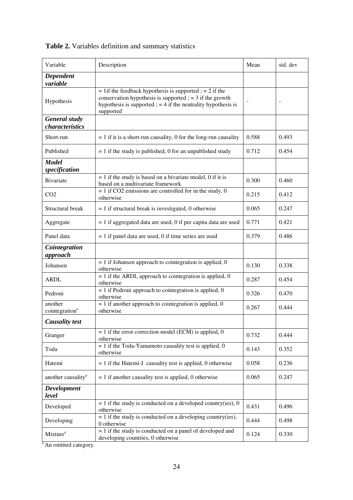| Variable                                | Description                                                                                                                                                                                           | Mean  | std. dev |
|-----------------------------------------|-------------------------------------------------------------------------------------------------------------------------------------------------------------------------------------------------------|-------|----------|
| <b>Dependent</b><br>variable            |                                                                                                                                                                                                       |       |          |
| Hypothesis                              | $= 1$ if the feedback hypothesis is supported; $= 2$ if the<br>conservation hypothesis is supported $= 3$ if the growth<br>hypothesis is supported $= 4$ if the neutrality hypothesis is<br>supported |       |          |
| <b>General study</b><br>characteristics |                                                                                                                                                                                                       |       |          |
| Short-run                               | $= 1$ if it is a short-run causality, 0 for the long-run causality                                                                                                                                    | 0.588 | 0.493    |
| Published                               | $= 1$ if the study is published, 0 for an unpublished study                                                                                                                                           | 0.712 | 0.454    |
| <b>Model</b><br>specification           |                                                                                                                                                                                                       |       |          |
| <b>Bivariate</b>                        | $= 1$ if the study is based on a bivariate model, 0 if it is<br>based on a multivariate framework                                                                                                     | 0.300 | 0.460    |
| CO <sub>2</sub>                         | $= 1$ if CO2 emissions are controlled for in the study, 0<br>otherwise                                                                                                                                | 0.215 | 0.412    |
| Structural break                        | $= 1$ if structural break is investigated, 0 otherwise                                                                                                                                                | 0.065 | 0.247    |
| Aggregate                               | $= 1$ if aggregated data are used, 0 if per capita data are used                                                                                                                                      | 0.771 | 0.421    |
| Panel data                              | $= 1$ if panel data are used, 0 if time series are used                                                                                                                                               | 0.379 | 0.486    |
| Cointegration<br>approach               |                                                                                                                                                                                                       |       |          |
| Johansen                                | $= 1$ if Johansen approach to cointegration is applied, 0<br>otherwise                                                                                                                                | 0.130 | 0.338    |
| <b>ARDL</b>                             | $= 1$ if the ARDL approach to cointegration is applied, 0<br>otherwise                                                                                                                                | 0.287 | 0.454    |
| Pedroni                                 | $= 1$ if Pedroni approach to cointegration is applied, 0<br>otherwise                                                                                                                                 | 0.326 | 0.470    |
| another<br>cointegration <sup>a</sup>   | $= 1$ if another approach to cointegration is applied, 0<br>otherwise                                                                                                                                 | 0.267 | 0.444    |
| <b>Causality test</b>                   |                                                                                                                                                                                                       |       |          |
| Granger                                 | $= 1$ if the error correction model (ECM) is applied, 0<br>otherwise                                                                                                                                  | 0.732 | 0.444    |
| Toda                                    | $= 1$ if the Toda-Yamamoto causality test is applied, 0<br>otherwise                                                                                                                                  | 0.143 | 0.352    |
| Hatemi                                  | $= 1$ if the Hatemi-J causality test is applied, 0 otherwise                                                                                                                                          | 0.058 | 0.236    |
| another causality <sup>a</sup>          | $= 1$ if another causality test is applied, 0 otherwise                                                                                                                                               | 0.065 | 0.247    |
| <b>Development</b><br>level             |                                                                                                                                                                                                       |       |          |
| Developed                               | $= 1$ if the study is conducted on a developed country(ies), 0<br>otherwise                                                                                                                           | 0.431 | 0.496    |
| Developing                              | $= 1$ if the study is conducted on a developing country(ies),<br>0 otherwise                                                                                                                          | 0.444 | 0.498    |
| Mixture <sup>a</sup>                    | $= 1$ if the study is conducted on a panel of developed and<br>developing countries, 0 otherwise                                                                                                      | 0.124 | 0.330    |

| <b>Table 2.</b> Variables definition and summary statistics |  |
|-------------------------------------------------------------|--|
|-------------------------------------------------------------|--|

<sup>a</sup> An omitted category.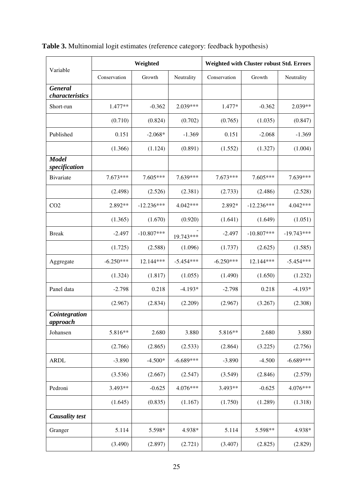|                                   |              | Weighted     |             | Weighted with Cluster robust Std. Errors |              |              |  |
|-----------------------------------|--------------|--------------|-------------|------------------------------------------|--------------|--------------|--|
| Variable                          | Conservation | Growth       | Neutrality  | Conservation                             | Growth       | Neutrality   |  |
| <b>General</b><br>characteristics |              |              |             |                                          |              |              |  |
| Short-run                         | $1.477**$    | $-0.362$     | $2.039***$  | 1.477*                                   | $-0.362$     | 2.039**      |  |
|                                   | (0.710)      | (0.824)      | (0.702)     | (0.765)                                  | (1.035)      | (0.847)      |  |
| Published                         | 0.151        | $-2.068*$    | $-1.369$    | 0.151                                    | $-2.068$     | $-1.369$     |  |
|                                   | (1.366)      | (1.124)      | (0.891)     | (1.552)                                  | (1.327)      | (1.004)      |  |
| <b>Model</b><br>specification     |              |              |             |                                          |              |              |  |
| Bivariate                         | $7.673***$   | 7.605***     | 7.639***    | 7.673***                                 | 7.605***     | 7.639***     |  |
|                                   | (2.498)      | (2.526)      | (2.381)     | (2.733)                                  | (2.486)      | (2.528)      |  |
| CO <sub>2</sub>                   | 2.892**      | $-12.236***$ | 4.042***    | 2.892*                                   | $-12.236***$ | 4.042***     |  |
|                                   | (1.365)      | (1.670)      | (0.920)     | (1.641)                                  | (1.649)      | (1.051)      |  |
| <b>Break</b>                      | $-2.497$     | $-10.807***$ | 19.743***   | $-2.497$                                 | $-10.807***$ | $-19.743***$ |  |
|                                   | (1.725)      | (2.588)      | (1.096)     | (1.737)                                  | (2.625)      | (1.585)      |  |
| Aggregate                         | $-6.250***$  | 12.144***    | $-5.454***$ | $-6.250***$                              | 12.144***    | $-5.454***$  |  |
|                                   | (1.324)      | (1.817)      | (1.055)     | (1.490)                                  | (1.650)      | (1.232)      |  |
| Panel data                        | $-2.798$     | 0.218        | $-4.193*$   | $-2.798$                                 | 0.218        | $-4.193*$    |  |
|                                   | (2.967)      | (2.834)      | (2.209)     | (2.967)                                  | (3.267)      | (2.308)      |  |
| Cointegration<br>approach         |              |              |             |                                          |              |              |  |
| Johansen                          | 5.816**      | 2.680        | 3.880       | 5.816**                                  | 2.680        | 3.880        |  |
|                                   | (2.766)      | (2.865)      | (2.533)     | (2.864)                                  | (3.225)      | (2.756)      |  |
| <b>ARDL</b>                       | $-3.890$     | $-4.500*$    | $-6.689***$ | $-3.890$                                 | $-4.500$     | $-6.689***$  |  |
|                                   | (3.536)      | (2.667)      | (2.547)     | (3.549)                                  | (2.846)      | (2.579)      |  |
| Pedroni                           | 3.493**      | $-0.625$     | 4.076***    | 3.493**                                  | $-0.625$     | 4.076***     |  |
|                                   | (1.645)      | (0.835)      | (1.167)     | (1.750)                                  | (1.289)      | (1.318)      |  |
| <b>Causality test</b>             |              |              |             |                                          |              |              |  |
| Granger                           | 5.114        | 5.598*       | 4.938*      | 5.114                                    | 5.598**      | 4.938*       |  |
|                                   | (3.490)      | (2.897)      | (2.721)     | (3.407)                                  | (2.825)      | (2.829)      |  |

**Table 3.** Multinomial logit estimates (reference category: feedback hypothesis)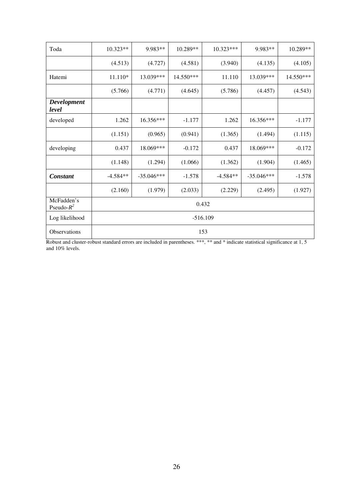| Toda                        | $10.323**$ | 9.983**      | 10.289**  | $10.323***$ | 9.983**      | 10.289**  |  |  |
|-----------------------------|------------|--------------|-----------|-------------|--------------|-----------|--|--|
|                             | (4.513)    | (4.727)      | (4.581)   | (3.940)     | (4.135)      | (4.105)   |  |  |
| Hatemi                      | 11.110*    | 13.039***    | 14.550*** | 11.110      | 13.039***    | 14.550*** |  |  |
|                             | (5.766)    | (4.771)      | (4.645)   | (5.786)     | (4.457)      | (4.543)   |  |  |
| Development<br>level        |            |              |           |             |              |           |  |  |
| developed                   | 1.262      | 16.356***    | $-1.177$  | 1.262       | $16.356***$  | $-1.177$  |  |  |
|                             | (1.151)    | (0.965)      | (0.941)   | (1.365)     | (1.494)      | (1.115)   |  |  |
| developing                  | 0.437      | 18.069***    | $-0.172$  | 0.437       | 18.069***    | $-0.172$  |  |  |
|                             | (1.148)    | (1.294)      | (1.066)   | (1.362)     | (1.904)      | (1.465)   |  |  |
| <b>Constant</b>             | $-4.584**$ | $-35.046***$ | $-1.578$  | $-4.584**$  | $-35.046***$ | $-1.578$  |  |  |
|                             | (2.160)    | (1.979)      | (2.033)   | (2.229)     | (2.495)      | (1.927)   |  |  |
| McFadden's<br>Pseudo- $R^2$ | 0.432      |              |           |             |              |           |  |  |
| Log likelihood              | $-516.109$ |              |           |             |              |           |  |  |
| Observations                | 153        |              |           |             |              |           |  |  |

Robust and cluster-robust standard errors are included in parentheses. \*\*\*, \*\* and \* indicate statistical significance at 1, 5 and 10% levels.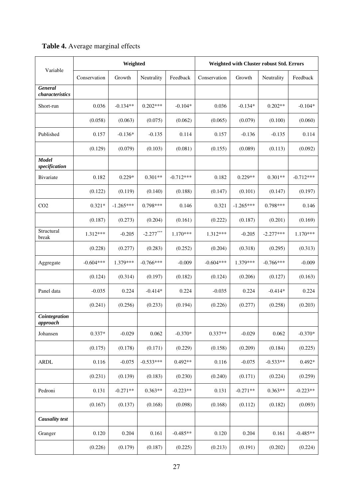| Variable                      | Weighted     |             |             |             | Weighted with Cluster robust Std. Errors |             |             |             |
|-------------------------------|--------------|-------------|-------------|-------------|------------------------------------------|-------------|-------------|-------------|
|                               | Conservation | Growth      | Neutrality  | Feedback    | Conservation                             | Growth      | Neutrality  | Feedback    |
| General<br>characteristics    |              |             |             |             |                                          |             |             |             |
| Short-run                     | 0.036        | $-0.134**$  | $0.202***$  | $-0.104*$   | 0.036                                    | $-0.134*$   | $0.202**$   | $-0.104*$   |
|                               | (0.058)      | (0.063)     | (0.075)     | (0.062)     | (0.065)                                  | (0.079)     | (0.100)     | (0.060)     |
| Published                     | 0.157        | $-0.136*$   | $-0.135$    | 0.114       | 0.157                                    | $-0.136$    | $-0.135$    | 0.114       |
|                               | (0.129)      | (0.079)     | (0.103)     | (0.081)     | (0.155)                                  | (0.089)     | (0.113)     | (0.092)     |
| <b>Model</b><br>specification |              |             |             |             |                                          |             |             |             |
| Bivariate                     | 0.182        | $0.229*$    | $0.301**$   | $-0.712***$ | 0.182                                    | $0.229**$   | $0.301**$   | $-0.712***$ |
|                               | (0.122)      | (0.119)     | (0.140)     | (0.188)     | (0.147)                                  | (0.101)     | (0.147)     | (0.197)     |
| CO <sub>2</sub>               | $0.321*$     | $-1.265***$ | $0.798***$  | 0.146       | 0.321                                    | $-1.265***$ | $0.798***$  | 0.146       |
|                               | (0.187)      | (0.273)     | (0.204)     | (0.161)     | (0.222)                                  | (0.187)     | (0.201)     | (0.169)     |
| Structural<br>break           | 1.312***     | $-0.205$    | $-2.277***$ | $1.170***$  | 1.312***                                 | $-0.205$    | $-2.277***$ | $1.170***$  |
|                               | (0.228)      | (0.277)     | (0.283)     | (0.252)     | (0.204)                                  | (0.318)     | (0.295)     | (0.313)     |
| Aggregate                     | $-0.604***$  | 1.379***    | $-0.766***$ | $-0.009$    | $-0.604***$                              | 1.379***    | $-0.766***$ | $-0.009$    |
|                               | (0.124)      | (0.314)     | (0.197)     | (0.182)     | (0.124)                                  | (0.206)     | (0.127)     | (0.163)     |
| Panel data                    | $-0.035$     | 0.224       | $-0.414*$   | 0.224       | $-0.035$                                 | 0.224       | $-0.414*$   | 0.224       |
|                               | (0.241)      | (0.256)     | (0.233)     | (0.194)     | (0.226)                                  | (0.277)     | (0.258)     | (0.203)     |
| Cointegration<br>approach     |              |             |             |             |                                          |             |             |             |
| Johansen                      | $0.337*$     | $-0.029$    | 0.062       | $-0.370*$   | $0.337**$                                | $-0.029$    | 0.062       | $-0.370*$   |
|                               | (0.175)      | (0.178)     | (0.171)     | (0.229)     | (0.158)                                  | (0.209)     | (0.184)     | (0.225)     |
| <b>ARDL</b>                   | 0.116        | $-0.075$    | $-0.533***$ | $0.492**$   | 0.116                                    | $-0.075$    | $-0.533**$  | $0.492*$    |
|                               | (0.231)      | (0.139)     | (0.183)     | (0.230)     | (0.240)                                  | (0.171)     | (0.224)     | (0.259)     |
| Pedroni                       | 0.131        | $-0.271**$  | $0.363**$   | $-0.223**$  | 0.131                                    | $-0.271**$  | $0.363**$   | $-0.223**$  |
|                               | (0.167)      | (0.137)     | (0.168)     | (0.098)     | (0.168)                                  | (0.112)     | (0.182)     | (0.093)     |
| <b>Causality test</b>         |              |             |             |             |                                          |             |             |             |
| Granger                       | 0.120        | 0.204       | 0.161       | $-0.485**$  | 0.120                                    | 0.204       | 0.161       | $-0.485**$  |
|                               | (0.226)      | (0.179)     | (0.187)     | (0.225)     | (0.213)                                  | (0.191)     | (0.202)     | (0.224)     |

## **Table 4.** Average marginal effects